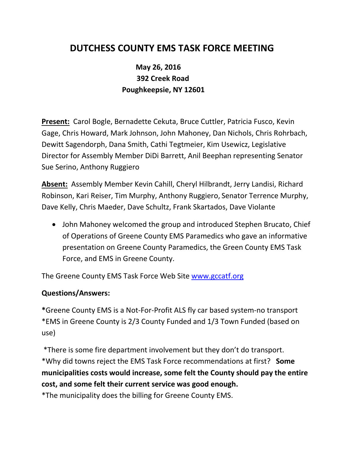# **DUTCHESS COUNTY EMS TASK FORCE MEETING**

# **May 26, 2016 392 Creek Road Poughkeepsie, NY 12601**

**Present:** Carol Bogle, Bernadette Cekuta, Bruce Cuttler, Patricia Fusco, Kevin Gage, Chris Howard, Mark Johnson, John Mahoney, Dan Nichols, Chris Rohrbach, Dewitt Sagendorph, Dana Smith, Cathi Tegtmeier, Kim Usewicz, Legislative Director for Assembly Member DiDi Barrett, Anil Beephan representing Senator Sue Serino, Anthony Ruggiero

**Absent:** Assembly Member Kevin Cahill, Cheryl Hilbrandt, Jerry Landisi, Richard Robinson, Kari Reiser, Tim Murphy, Anthony Ruggiero, Senator Terrence Murphy, Dave Kelly, Chris Maeder, Dave Schultz, Frank Skartados, Dave Violante

• John Mahoney welcomed the group and introduced Stephen Brucato, Chief of Operations of Greene County EMS Paramedics who gave an informative presentation on Greene County Paramedics, the Green County EMS Task Force, and EMS in Greene County.

The Greene County EMS Task Force Web Site [www.gccatf.org](http://www.gccatf.org/)

#### **Questions/Answers:**

**\***Greene County EMS is a Not-For-Profit ALS fly car based system-no transport \*EMS in Greene County is 2/3 County Funded and 1/3 Town Funded (based on use)

\*There is some fire department involvement but they don't do transport. \*Why did towns reject the EMS Task Force recommendations at first? **Some municipalities costs would increase, some felt the County should pay the entire cost, and some felt their current service was good enough.** 

\*The municipality does the billing for Greene County EMS.